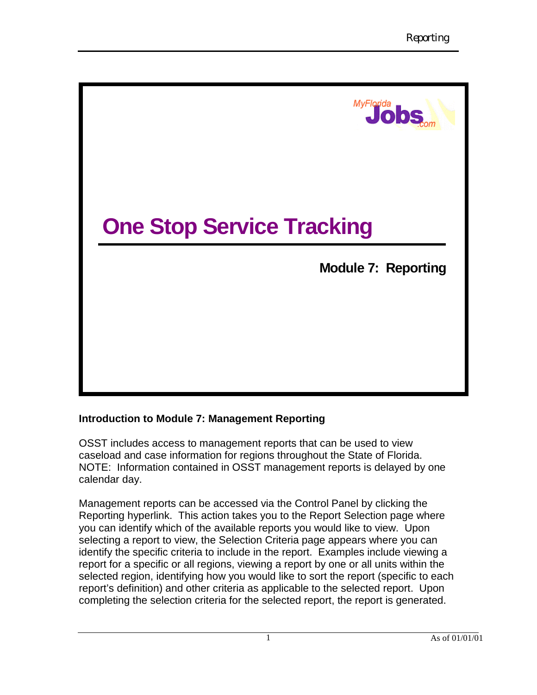

### **Introduction to Module 7: Management Reporting**

OSST includes access to management reports that can be used to view caseload and case information for regions throughout the State of Florida. NOTE: Information contained in OSST management reports is delayed by one calendar day.

Management reports can be accessed via the Control Panel by clicking the Reporting hyperlink. This action takes you to the Report Selection page where you can identify which of the available reports you would like to view. Upon selecting a report to view, the Selection Criteria page appears where you can identify the specific criteria to include in the report. Examples include viewing a report for a specific or all regions, viewing a report by one or all units within the selected region, identifying how you would like to sort the report (specific to each report's definition) and other criteria as applicable to the selected report. Upon completing the selection criteria for the selected report, the report is generated.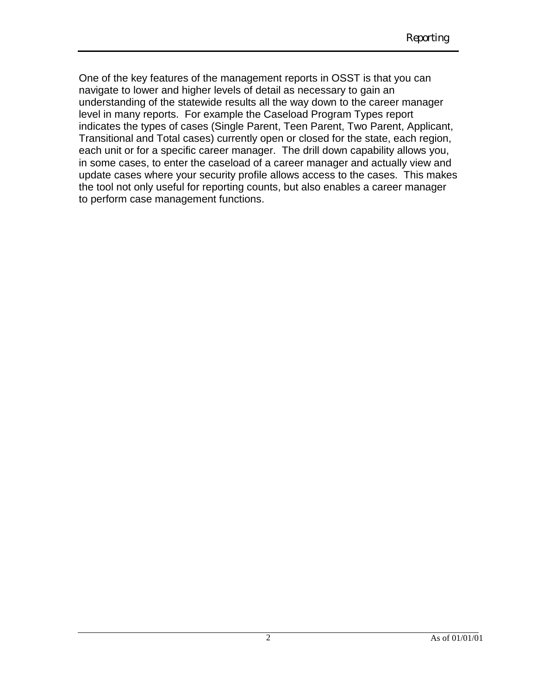One of the key features of the management reports in OSST is that you can navigate to lower and higher levels of detail as necessary to gain an understanding of the statewide results all the way down to the career manager level in many reports. For example the Caseload Program Types report indicates the types of cases (Single Parent, Teen Parent, Two Parent, Applicant, Transitional and Total cases) currently open or closed for the state, each region, each unit or for a specific career manager. The drill down capability allows you, in some cases, to enter the caseload of a career manager and actually view and update cases where your security profile allows access to the cases. This makes the tool not only useful for reporting counts, but also enables a career manager to perform case management functions.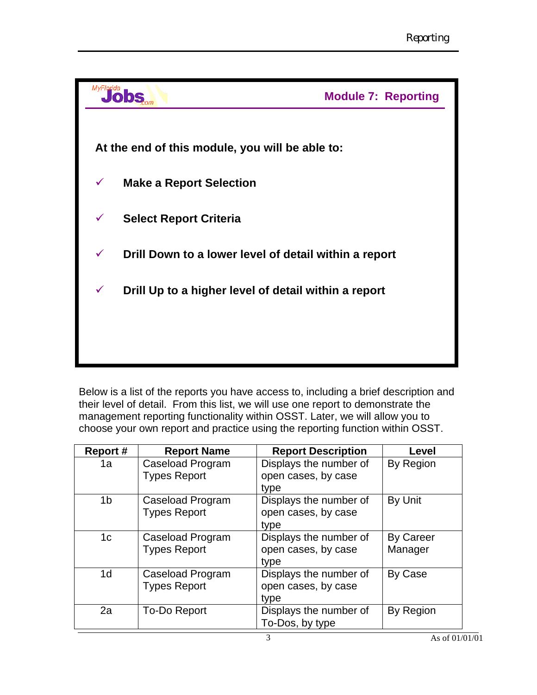

Below is a list of the reports you have access to, including a brief description and their level of detail. From this list, we will use one report to demonstrate the management reporting functionality within OSST. Later, we will allow you to choose your own report and practice using the reporting function within OSST.

| Report#        | <b>Report Name</b>                      | <b>Report Description</b>                             | Level                       |
|----------------|-----------------------------------------|-------------------------------------------------------|-----------------------------|
| 1a             | Caseload Program<br><b>Types Report</b> | Displays the number of<br>open cases, by case<br>type | By Region                   |
| 1 <sub>b</sub> | Caseload Program<br><b>Types Report</b> | Displays the number of<br>open cases, by case<br>type | By Unit                     |
| 1 <sub>c</sub> | Caseload Program<br><b>Types Report</b> | Displays the number of<br>open cases, by case<br>type | <b>By Career</b><br>Manager |
| 1 <sub>d</sub> | Caseload Program<br><b>Types Report</b> | Displays the number of<br>open cases, by case<br>type | By Case                     |
| 2a             | To-Do Report                            | Displays the number of<br>To-Dos, by type             | By Region                   |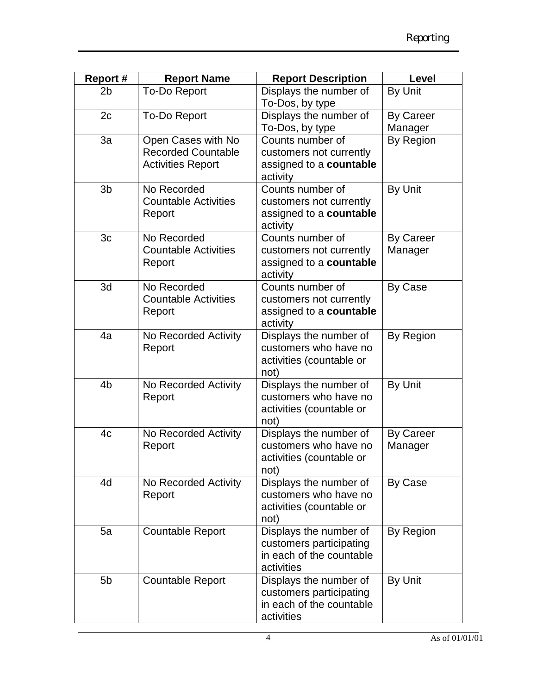| <b>Report #</b> | <b>Report Name</b>                                                          | <b>Report Description</b>                                                                   | Level                       |
|-----------------|-----------------------------------------------------------------------------|---------------------------------------------------------------------------------------------|-----------------------------|
| 2 <sub>b</sub>  | <b>To-Do Report</b>                                                         | Displays the number of<br>To-Dos, by type                                                   | By Unit                     |
| 2c              | <b>To-Do Report</b>                                                         | Displays the number of<br>To-Dos, by type                                                   | <b>By Career</b><br>Manager |
| 3a              | Open Cases with No<br><b>Recorded Countable</b><br><b>Activities Report</b> | Counts number of<br>customers not currently<br>assigned to a countable<br>activity          | By Region                   |
| 3 <sub>b</sub>  | No Recorded<br><b>Countable Activities</b><br>Report                        | Counts number of<br>customers not currently<br>assigned to a countable<br>activity          | By Unit                     |
| 3c              | No Recorded<br><b>Countable Activities</b><br>Report                        | Counts number of<br>customers not currently<br>assigned to a countable<br>activity          | <b>By Career</b><br>Manager |
| 3d              | No Recorded<br><b>Countable Activities</b><br>Report                        | Counts number of<br>customers not currently<br>assigned to a countable<br>activity          | By Case                     |
| 4a              | No Recorded Activity<br>Report                                              | Displays the number of<br>customers who have no<br>activities (countable or<br>not)         | By Region                   |
| 4 <sub>b</sub>  | No Recorded Activity<br>Report                                              | Displays the number of<br>customers who have no<br>activities (countable or<br>not)         | By Unit                     |
| 4 <sub>c</sub>  | No Recorded Activity<br>Report                                              | Displays the number of<br>customers who have no<br>activities (countable or<br>not)         | <b>By Career</b><br>Manager |
| 4d              | No Recorded Activity<br>Report                                              | Displays the number of<br>customers who have no<br>activities (countable or<br>not)         | By Case                     |
| 5a              | <b>Countable Report</b>                                                     | Displays the number of<br>customers participating<br>in each of the countable<br>activities | By Region                   |
| 5 <sub>b</sub>  | <b>Countable Report</b>                                                     | Displays the number of<br>customers participating<br>in each of the countable<br>activities | By Unit                     |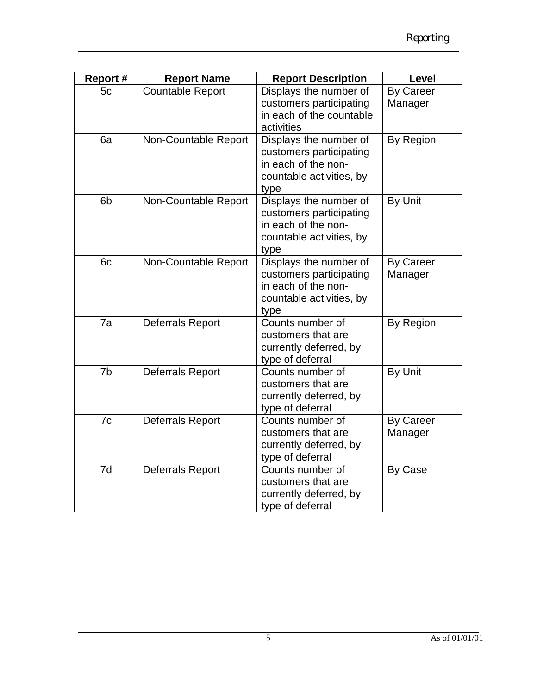| <b>Report #</b> | <b>Report Name</b>      | <b>Report Description</b>                                                                                    | Level                       |
|-----------------|-------------------------|--------------------------------------------------------------------------------------------------------------|-----------------------------|
| 5c              | <b>Countable Report</b> | Displays the number of<br>customers participating<br>in each of the countable<br>activities                  | <b>By Career</b><br>Manager |
| 6a              | Non-Countable Report    | Displays the number of<br>customers participating<br>in each of the non-<br>countable activities, by<br>type | By Region                   |
| 6 <sub>b</sub>  | Non-Countable Report    | Displays the number of<br>customers participating<br>in each of the non-<br>countable activities, by<br>type | By Unit                     |
| 6c              | Non-Countable Report    | Displays the number of<br>customers participating<br>in each of the non-<br>countable activities, by<br>type | <b>By Career</b><br>Manager |
| 7a              | Deferrals Report        | Counts number of<br>customers that are<br>currently deferred, by<br>type of deferral                         | By Region                   |
| 7b              | <b>Deferrals Report</b> | Counts number of<br>customers that are<br>currently deferred, by<br>type of deferral                         | By Unit                     |
| 7c              | <b>Deferrals Report</b> | Counts number of<br>customers that are<br>currently deferred, by<br>type of deferral                         | <b>By Career</b><br>Manager |
| 7d              | <b>Deferrals Report</b> | Counts number of<br>customers that are<br>currently deferred, by<br>type of deferral                         | By Case                     |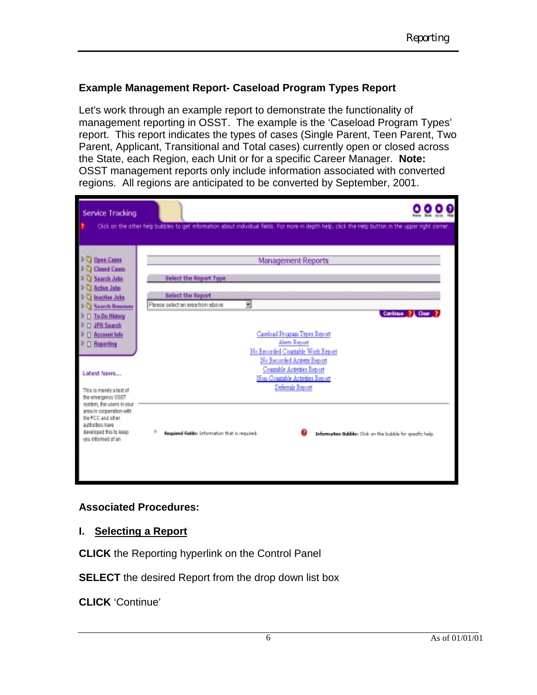### **Example Management Report- Caseload Program Types Report**

Let's work through an example report to demonstrate the functionality of management reporting in OSST. The example is the 'Caseload Program Types' report. This report indicates the types of cases (Single Parent, Teen Parent, Two Parent, Applicant, Transitional and Total cases) currently open or closed across the State, each Region, each Unit or for a specific Career Manager. **Note:** OSST management reports only include information associated with converted regions. All regions are anticipated to be converted by September, 2001.

| Service Tracking                                                                                                                                                                                                                                                                                                                                                                                                                           |                                                                                                                                                                                                                                                                                                                                                                                                                                                                           |  |
|--------------------------------------------------------------------------------------------------------------------------------------------------------------------------------------------------------------------------------------------------------------------------------------------------------------------------------------------------------------------------------------------------------------------------------------------|---------------------------------------------------------------------------------------------------------------------------------------------------------------------------------------------------------------------------------------------------------------------------------------------------------------------------------------------------------------------------------------------------------------------------------------------------------------------------|--|
|                                                                                                                                                                                                                                                                                                                                                                                                                                            | Click on the other help bubbles to get information about individual fields. For more in depth help, click the Help button in the upper right comer.                                                                                                                                                                                                                                                                                                                       |  |
| <b>Q</b> Open Cases<br><b>Closed Cases</b><br><b>Search Jobs</b><br><b>Active Jobs</b><br><b>Inactive Jabs</b><br><b>Search Rosumes</b><br><b>To Do History</b><br><b>JPR Search</b><br><b>Account Info</b><br>Reporting<br>Latest News<br>This is merely a test of<br>the emergency OSST<br>system, the users in your<br>area in cooperation with<br>the FCC and other<br>autholties have<br>developed this to keep<br>ves informed of an | <b>Management Reports</b><br>Select the Report Type<br><b>Select the Report</b><br>Please select an area from above<br>뻬<br>Continue ? L Clear<br>Careload Program Types Report<br>Alerts Report<br>No Recorded Countable Work Report<br>No Recorded Artisty Report<br>Countable Activities Report<br>Non-Countable Activities Report<br>Deferrals Report<br>Required Fields: Information that is required.<br>Information Bubble: Click on the bubble for specific help. |  |
|                                                                                                                                                                                                                                                                                                                                                                                                                                            |                                                                                                                                                                                                                                                                                                                                                                                                                                                                           |  |

### **Associated Procedures:**

### **I. Selecting a Report**

**CLICK** the Reporting hyperlink on the Control Panel

**SELECT** the desired Report from the drop down list box

**CLICK** 'Continue'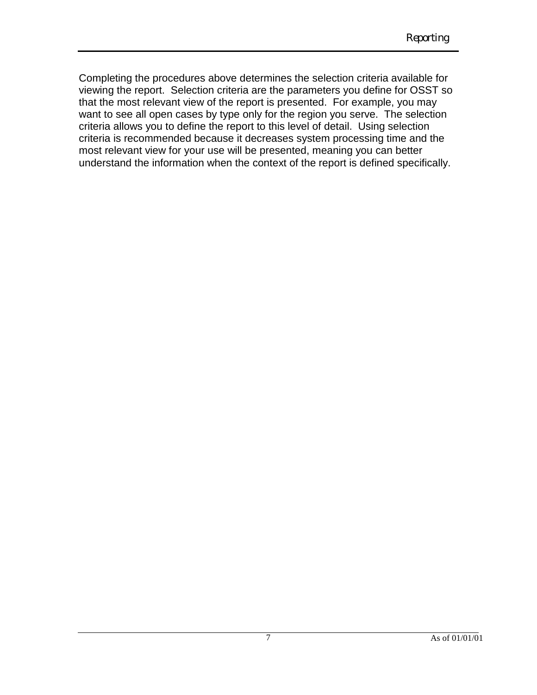Completing the procedures above determines the selection criteria available for viewing the report. Selection criteria are the parameters you define for OSST so that the most relevant view of the report is presented. For example, you may want to see all open cases by type only for the region you serve. The selection criteria allows you to define the report to this level of detail. Using selection criteria is recommended because it decreases system processing time and the most relevant view for your use will be presented, meaning you can better understand the information when the context of the report is defined specifically.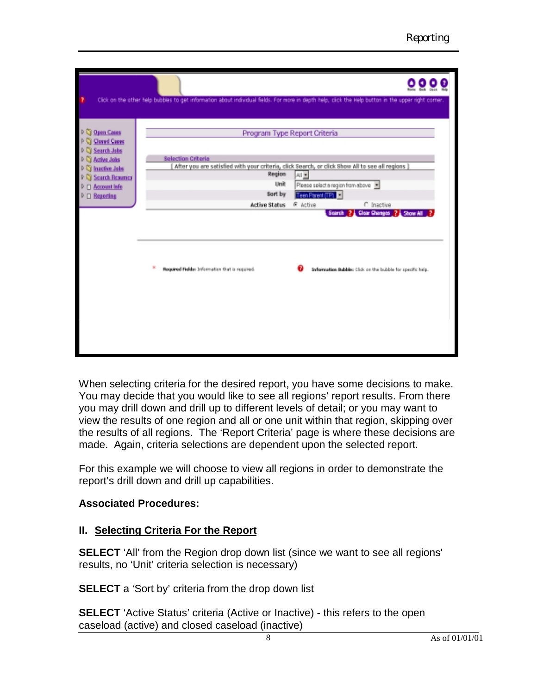|                                                    |                                                | Click on the other help bubbles to get information about individual fields. For more in depth help, click the Help button in the upper right comer. |
|----------------------------------------------------|------------------------------------------------|-----------------------------------------------------------------------------------------------------------------------------------------------------|
| C Open Cases<br>Closed Cases                       |                                                | Program Type Report Criteria                                                                                                                        |
| Search Jobs<br><b>Bative Jobs</b><br>Inactive Jobs | <b>Selection Criteria</b>                      | After you are satisfied with your criteria, click Search, or click Show All to see all regions ]                                                    |
| Search Besumes<br>Account Info                     | Region<br>Unit                                 | All <b>Y</b><br>Please select a region from above                                                                                                   |
| □ Reporting                                        | Sort by<br><b>Active Status</b>                | TeenPerent (TP)<br>C Inactive<br>G Active                                                                                                           |
|                                                    |                                                | Clear Changes ? Show All<br>Search                                                                                                                  |
|                                                    | Required Fields: Information that is required. | Information Bubble: Click on the bubble for specific help.                                                                                          |
|                                                    |                                                |                                                                                                                                                     |
|                                                    |                                                |                                                                                                                                                     |

When selecting criteria for the desired report, you have some decisions to make. You may decide that you would like to see all regions' report results. From there you may drill down and drill up to different levels of detail; or you may want to view the results of one region and all or one unit within that region, skipping over the results of all regions. The 'Report Criteria' page is where these decisions are made. Again, criteria selections are dependent upon the selected report.

For this example we will choose to view all regions in order to demonstrate the report's drill down and drill up capabilities.

### **Associated Procedures:**

### **II. Selecting Criteria For the Report**

**SELECT** 'All' from the Region drop down list (since we want to see all regions' results, no 'Unit' criteria selection is necessary)

**SELECT** a 'Sort by' criteria from the drop down list

**SELECT** 'Active Status' criteria (Active or Inactive) - this refers to the open caseload (active) and closed caseload (inactive)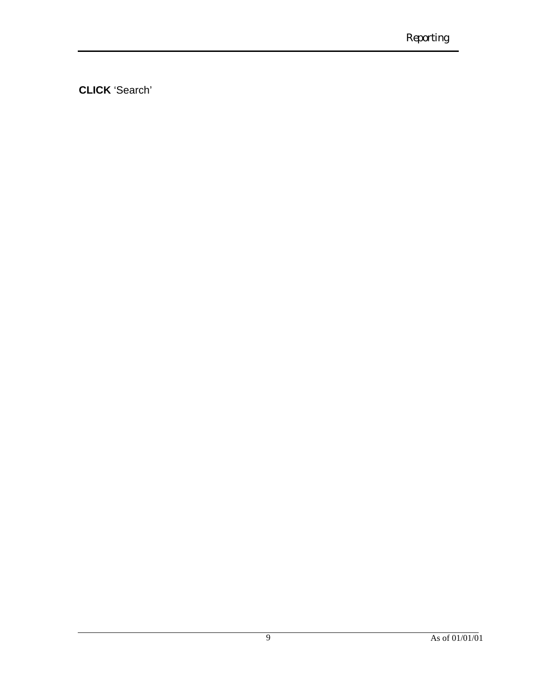**CLICK** 'Search'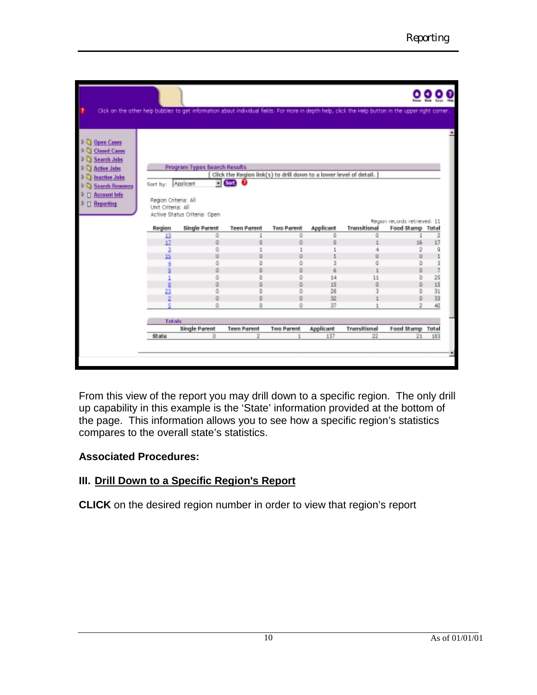|                                                                                                                                                           |                                                                                                                      | Click on the other help bubbles to get information about individual fields. For more in depth help, click the Help button in the upper right comer. |                                                                                                                                                                     |                                                              |                                                             |                                        |                                                                                                                       |                                                                                          |
|-----------------------------------------------------------------------------------------------------------------------------------------------------------|----------------------------------------------------------------------------------------------------------------------|-----------------------------------------------------------------------------------------------------------------------------------------------------|---------------------------------------------------------------------------------------------------------------------------------------------------------------------|--------------------------------------------------------------|-------------------------------------------------------------|----------------------------------------|-----------------------------------------------------------------------------------------------------------------------|------------------------------------------------------------------------------------------|
| <b>Quen Cases</b><br>Closed Cases<br>Search Jobs<br>Active Jobs<br>Inactive Jobs<br><b>Search Resumes</b><br><b>Account Info</b><br><b>Reporting</b><br>п | Sort by:<br>Region Criteria: All<br>Unit Criteria: All<br>Region<br>13<br>17<br>15<br>n<br>B<br>23<br>$\overline{2}$ | Program Types Search Results<br>Applicant<br>Active Status Criteria: Open<br>Single Parent<br>ū<br>ŭ<br>ŭ<br>ŭ<br>ŭ<br>ō<br>ū<br>ŭ<br>ū<br>ŭ<br>ū   | [ Click the Region link(s) to drill down to a lower level of detail. ]<br>$=$ (Sort)<br>o<br><b>Teen Parent</b><br>1<br>D.<br>ū<br>Ũ<br>Ŭ<br>Ŭ<br>Ŭ<br>D<br>D.<br>Ŭ | Two Parent<br>ŭ<br>ō<br>ū<br>ū<br>ō<br>ō<br>ū<br>o<br>ō<br>ŭ | Applicent<br>ũ<br>ũ<br>3<br>6<br>14<br>15<br>28<br>32<br>37 | Transitional<br>ű<br>ű<br>11<br>ũ<br>9 | Region records retrieved: 11<br>Food Stamp Total<br>1<br>16<br>2<br>D<br>D<br>D<br>D<br>D<br>D<br>D<br>$\overline{2}$ | $\overline{2}$<br>17<br>g<br>3<br>$\overline{\phantom{a}}$<br>25<br>15<br>31<br>33<br>40 |
|                                                                                                                                                           | Totals                                                                                                               | Single Parent                                                                                                                                       | <b>Teen Parent</b>                                                                                                                                                  | Two Perent                                                   | Applicant                                                   | Transitional                           | Food Stamp Total                                                                                                      |                                                                                          |
|                                                                                                                                                           | State                                                                                                                | D.                                                                                                                                                  | 2                                                                                                                                                                   | 1                                                            | 137                                                         | 22                                     | 21                                                                                                                    | 183                                                                                      |

From this view of the report you may drill down to a specific region. The only drill up capability in this example is the 'State' information provided at the bottom of the page. This information allows you to see how a specific region's statistics compares to the overall state's statistics.

### **Associated Procedures:**

### **III. Drill Down to a Specific Region's Report**

**CLICK** on the desired region number in order to view that region's report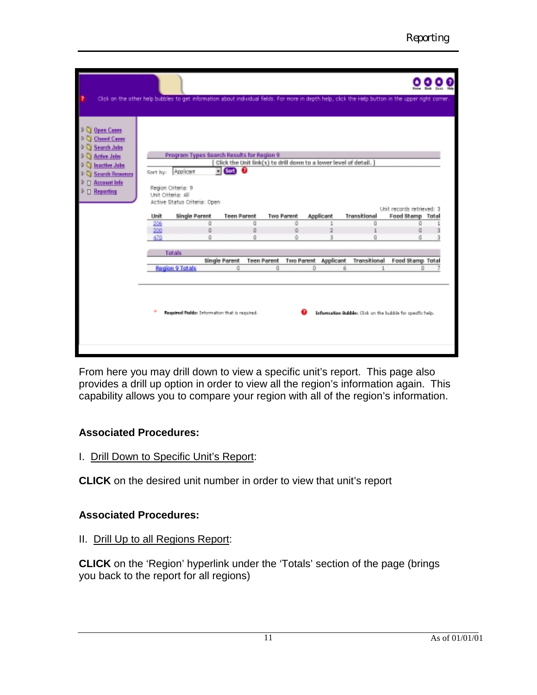|                                                                                                                                                                    | Click on the other help bubbles to get information about individual fields. For more in depth help, click the Help button in the upper right comer. |                                                                                                                 |                                                                                   |                            |                                       |                                                            |                                                              |  |
|--------------------------------------------------------------------------------------------------------------------------------------------------------------------|-----------------------------------------------------------------------------------------------------------------------------------------------------|-----------------------------------------------------------------------------------------------------------------|-----------------------------------------------------------------------------------|----------------------------|---------------------------------------|------------------------------------------------------------|--------------------------------------------------------------|--|
| <b>Open Cases</b><br><b>Closed Cases</b><br>Search Jobs<br><b>Active Jobs</b><br><b>Inactive Jobs</b><br><b>Search Resumes</b><br><b>Account Info</b><br>Reporting | Sort by: Applicant<br>Region Criteria: 9<br>Unit Criteria: All<br>Active Status Criteria: Open<br>Single Parent<br>Unit<br>206<br>200<br>470        | Program Types Search Results for Region 9<br>$\blacksquare$ Sart) $\Omega$<br><b>Teen Parent</b><br>ū<br>ū<br>ũ | Click the Unit link(s) to drill down to a lower level of detail. ]<br>ũ<br>ũ<br>ũ | Two Parent<br>ō<br>ō<br>ŭ  | Applicant<br>1<br>$\overline{2}$<br>э | Transitional<br>Ű<br>ũ                                     | Unit records retrieved: 3<br>Food Stemp Total<br>ű<br>ű<br>ũ |  |
|                                                                                                                                                                    | Totals                                                                                                                                              |                                                                                                                 |                                                                                   |                            |                                       |                                                            |                                                              |  |
|                                                                                                                                                                    | <b>Begion 9 Totals</b>                                                                                                                              | Single Parent<br>ű                                                                                              | <b>Teen Parent</b><br>ū                                                           | Two Parent Applicant<br>D. | 6                                     | Transitional<br>$\mathbf{1}$                               | Food Stamp Total<br>D.                                       |  |
|                                                                                                                                                                    |                                                                                                                                                     | Required Relds: Information that is required.                                                                   |                                                                                   |                            |                                       | Information Bubble: Click on the bubble for specific help. |                                                              |  |

From here you may drill down to view a specific unit's report. This page also provides a drill up option in order to view all the region's information again. This capability allows you to compare your region with all of the region's information.

### **Associated Procedures:**

I. Drill Down to Specific Unit's Report:

**CLICK** on the desired unit number in order to view that unit's report

### **Associated Procedures:**

II. Drill Up to all Regions Report:

**CLICK** on the 'Region' hyperlink under the 'Totals' section of the page (brings you back to the report for all regions)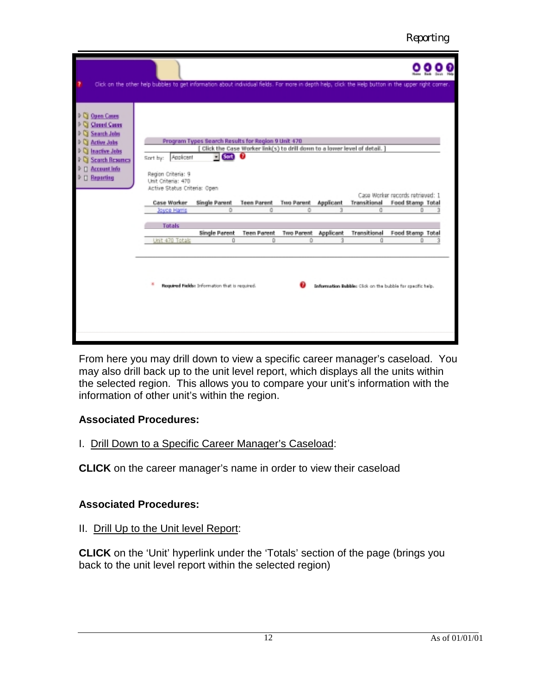*Reporting*

|                                                                                                                                                                                   | Click on the other help bubbles to get information about individual fields. For more in depth help, click the Help button in the upper right comer.                         |                                                                                                                               |                                                                                                                               |                                           |                                  |                                                            |                                                                                    |  |
|-----------------------------------------------------------------------------------------------------------------------------------------------------------------------------------|-----------------------------------------------------------------------------------------------------------------------------------------------------------------------------|-------------------------------------------------------------------------------------------------------------------------------|-------------------------------------------------------------------------------------------------------------------------------|-------------------------------------------|----------------------------------|------------------------------------------------------------|------------------------------------------------------------------------------------|--|
| <b>Open Cases</b><br><b>Closed Cases</b><br><b>Search Jobs</b><br><b>Active Jobs</b><br><b>Inactive Jobs</b><br><b>Search Resurres</b><br><b>Account Info</b><br><b>Reporting</b> | Applicant<br>Sort by:<br>Region Criberia: 9<br>Unit Criteria: 470<br>Active Status Criteria: Open<br><b>Case Worker</b><br>Joyce Harris<br><b>Totals</b><br>Unit 470 Totals | Program Types Search Results for Region 9 Unit 470<br>$=$ Sort<br>Single Parent<br>$\Omega$<br><b>Single Parent</b><br>$\Box$ | Click the Case Worker link(s) to drill down to a lower level of detail.<br><b>Teen Parent</b><br>ū<br><b>Teen Parent</b><br>D | <b>Two Parent</b><br>ō<br>Two Parent<br>ū | Applicant<br>з<br>Applicent<br>я | Transitional<br>ū<br>Transitional<br>ū                     | Case Worker records retrieved: 1<br>Food Stamp Total<br>n<br>Food Stamp Total<br>n |  |
|                                                                                                                                                                                   |                                                                                                                                                                             | Required Fields: Information that is required.                                                                                |                                                                                                                               |                                           |                                  | Information Bubbles Click on the bubble for specific help. |                                                                                    |  |

From here you may drill down to view a specific career manager's caseload. You may also drill back up to the unit level report, which displays all the units within the selected region. This allows you to compare your unit's information with the information of other unit's within the region.

### **Associated Procedures:**

### I. Drill Down to a Specific Career Manager's Caseload:

**CLICK** on the career manager's name in order to view their caseload

# **Associated Procedures:**

# II. Drill Up to the Unit level Report:

**CLICK** on the 'Unit' hyperlink under the 'Totals' section of the page (brings you back to the unit level report within the selected region)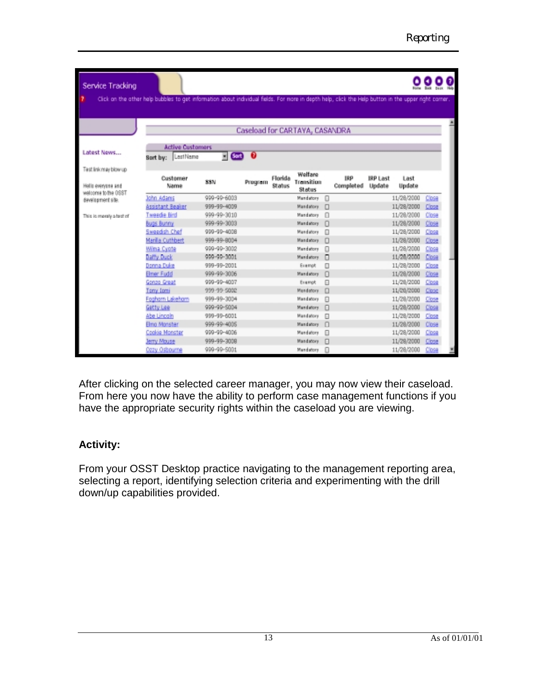| Service Tracking<br>Click on the other help bubbles to get information about individual fields. For more in depth help, click the Help button in the upper right comer.<br>Caseload for CARTAYA, CASANDRA<br><b>Active Customers</b><br>Latest News<br>0<br>$\blacksquare$ (Sort)<br>LastName<br>Sort by:<br>Test link may blow up<br>Welfare<br><b>TRP</b><br>Florida<br><b>IRP Last</b><br>Last<br>Customer<br>Transition<br><b>SSN</b><br>Program<br>Completed<br>Update<br>Update<br>Hello everyone and<br>Name<br><b>Status</b><br>Status<br>welcome to the OSST<br>999-99-6003<br>11/28/2000<br>John Adams<br>Mandatory<br>Close<br>Ω<br>development site.<br>Assistant Beaker<br>999-99-4009<br>Mandatory<br>$\Box$<br>11/28/2000<br>Close<br>weede fiird<br>999-99-3010<br>11/28/2000<br>Close<br>Mandatory<br>n<br>This is merely a test of<br>999-99-3003<br>11/28/2000<br>Bugs Bunny<br>Mandatory<br>n<br>Close<br><b>Sweedish Chef</b><br>999-99-4008<br>Mandatore<br>11/28/2000<br>Close<br>⋒<br>Marilla Cuthbert<br>999-99-8004<br>Mandatory<br>n<br>11/28/2000<br>Close<br>Wilma Cyote<br>999-99-3002<br>Mandatory<br>o<br>11/28/2000<br>Close<br>Daffy Duck<br>909-90-3001<br>Mandatory<br>11/28/2000<br>Close<br>п<br>Donna Duke<br>11/28/2000<br>999-99-2001<br>Exempt<br>Π<br>Close<br>999-99-3006<br>Elmer Fudd<br>n<br>11/28/2000<br>Close<br>Mandatory<br>Gonzo Great<br>999-99-4007<br>11/28/2000<br>Exempt.<br>Ω<br>Close |                |             |  |           |   |  |            |       |
|---------------------------------------------------------------------------------------------------------------------------------------------------------------------------------------------------------------------------------------------------------------------------------------------------------------------------------------------------------------------------------------------------------------------------------------------------------------------------------------------------------------------------------------------------------------------------------------------------------------------------------------------------------------------------------------------------------------------------------------------------------------------------------------------------------------------------------------------------------------------------------------------------------------------------------------------------------------------------------------------------------------------------------------------------------------------------------------------------------------------------------------------------------------------------------------------------------------------------------------------------------------------------------------------------------------------------------------------------------------------------------------------------------------------------------------------------|----------------|-------------|--|-----------|---|--|------------|-------|
|                                                                                                                                                                                                                                                                                                                                                                                                                                                                                                                                                                                                                                                                                                                                                                                                                                                                                                                                                                                                                                                                                                                                                                                                                                                                                                                                                                                                                                                   |                |             |  |           |   |  |            |       |
|                                                                                                                                                                                                                                                                                                                                                                                                                                                                                                                                                                                                                                                                                                                                                                                                                                                                                                                                                                                                                                                                                                                                                                                                                                                                                                                                                                                                                                                   |                |             |  |           |   |  |            |       |
|                                                                                                                                                                                                                                                                                                                                                                                                                                                                                                                                                                                                                                                                                                                                                                                                                                                                                                                                                                                                                                                                                                                                                                                                                                                                                                                                                                                                                                                   |                |             |  |           |   |  |            |       |
|                                                                                                                                                                                                                                                                                                                                                                                                                                                                                                                                                                                                                                                                                                                                                                                                                                                                                                                                                                                                                                                                                                                                                                                                                                                                                                                                                                                                                                                   |                |             |  |           |   |  |            |       |
|                                                                                                                                                                                                                                                                                                                                                                                                                                                                                                                                                                                                                                                                                                                                                                                                                                                                                                                                                                                                                                                                                                                                                                                                                                                                                                                                                                                                                                                   |                |             |  |           |   |  |            |       |
|                                                                                                                                                                                                                                                                                                                                                                                                                                                                                                                                                                                                                                                                                                                                                                                                                                                                                                                                                                                                                                                                                                                                                                                                                                                                                                                                                                                                                                                   |                |             |  |           |   |  |            |       |
|                                                                                                                                                                                                                                                                                                                                                                                                                                                                                                                                                                                                                                                                                                                                                                                                                                                                                                                                                                                                                                                                                                                                                                                                                                                                                                                                                                                                                                                   |                |             |  |           |   |  |            |       |
|                                                                                                                                                                                                                                                                                                                                                                                                                                                                                                                                                                                                                                                                                                                                                                                                                                                                                                                                                                                                                                                                                                                                                                                                                                                                                                                                                                                                                                                   |                |             |  |           |   |  |            |       |
|                                                                                                                                                                                                                                                                                                                                                                                                                                                                                                                                                                                                                                                                                                                                                                                                                                                                                                                                                                                                                                                                                                                                                                                                                                                                                                                                                                                                                                                   |                |             |  |           |   |  |            |       |
|                                                                                                                                                                                                                                                                                                                                                                                                                                                                                                                                                                                                                                                                                                                                                                                                                                                                                                                                                                                                                                                                                                                                                                                                                                                                                                                                                                                                                                                   |                |             |  |           |   |  |            |       |
|                                                                                                                                                                                                                                                                                                                                                                                                                                                                                                                                                                                                                                                                                                                                                                                                                                                                                                                                                                                                                                                                                                                                                                                                                                                                                                                                                                                                                                                   |                |             |  |           |   |  |            |       |
|                                                                                                                                                                                                                                                                                                                                                                                                                                                                                                                                                                                                                                                                                                                                                                                                                                                                                                                                                                                                                                                                                                                                                                                                                                                                                                                                                                                                                                                   |                |             |  |           |   |  |            |       |
|                                                                                                                                                                                                                                                                                                                                                                                                                                                                                                                                                                                                                                                                                                                                                                                                                                                                                                                                                                                                                                                                                                                                                                                                                                                                                                                                                                                                                                                   |                |             |  |           |   |  |            |       |
|                                                                                                                                                                                                                                                                                                                                                                                                                                                                                                                                                                                                                                                                                                                                                                                                                                                                                                                                                                                                                                                                                                                                                                                                                                                                                                                                                                                                                                                   |                |             |  |           |   |  |            |       |
|                                                                                                                                                                                                                                                                                                                                                                                                                                                                                                                                                                                                                                                                                                                                                                                                                                                                                                                                                                                                                                                                                                                                                                                                                                                                                                                                                                                                                                                   |                |             |  |           |   |  |            |       |
|                                                                                                                                                                                                                                                                                                                                                                                                                                                                                                                                                                                                                                                                                                                                                                                                                                                                                                                                                                                                                                                                                                                                                                                                                                                                                                                                                                                                                                                   |                |             |  |           |   |  |            |       |
|                                                                                                                                                                                                                                                                                                                                                                                                                                                                                                                                                                                                                                                                                                                                                                                                                                                                                                                                                                                                                                                                                                                                                                                                                                                                                                                                                                                                                                                   |                |             |  |           |   |  |            |       |
|                                                                                                                                                                                                                                                                                                                                                                                                                                                                                                                                                                                                                                                                                                                                                                                                                                                                                                                                                                                                                                                                                                                                                                                                                                                                                                                                                                                                                                                   |                |             |  |           |   |  |            |       |
|                                                                                                                                                                                                                                                                                                                                                                                                                                                                                                                                                                                                                                                                                                                                                                                                                                                                                                                                                                                                                                                                                                                                                                                                                                                                                                                                                                                                                                                   |                |             |  |           |   |  |            |       |
|                                                                                                                                                                                                                                                                                                                                                                                                                                                                                                                                                                                                                                                                                                                                                                                                                                                                                                                                                                                                                                                                                                                                                                                                                                                                                                                                                                                                                                                   | Tony Iomi      | 999-99-5002 |  | Mandatore | 日 |  | 11/28/2000 | Close |
|                                                                                                                                                                                                                                                                                                                                                                                                                                                                                                                                                                                                                                                                                                                                                                                                                                                                                                                                                                                                                                                                                                                                                                                                                                                                                                                                                                                                                                                   | Fosham Lakehom | 999-99-3004 |  | Mandatory | O |  | 11/29/2000 | Close |
|                                                                                                                                                                                                                                                                                                                                                                                                                                                                                                                                                                                                                                                                                                                                                                                                                                                                                                                                                                                                                                                                                                                                                                                                                                                                                                                                                                                                                                                   | Getty Lee      | 909-90-5004 |  | Mandatory | п |  | 11/28/2000 | Close |
|                                                                                                                                                                                                                                                                                                                                                                                                                                                                                                                                                                                                                                                                                                                                                                                                                                                                                                                                                                                                                                                                                                                                                                                                                                                                                                                                                                                                                                                   | Abe Lincoln    | 999-99-6001 |  | Mandatory | ₽ |  | 11/28/2000 | Close |
|                                                                                                                                                                                                                                                                                                                                                                                                                                                                                                                                                                                                                                                                                                                                                                                                                                                                                                                                                                                                                                                                                                                                                                                                                                                                                                                                                                                                                                                   | Elma Manster   | 999-99-4005 |  | Mandatory | n |  | 11/28/2000 | Close |
|                                                                                                                                                                                                                                                                                                                                                                                                                                                                                                                                                                                                                                                                                                                                                                                                                                                                                                                                                                                                                                                                                                                                                                                                                                                                                                                                                                                                                                                   | Cookie Monster | 909-90-4006 |  | Mandatore | Ω |  | 11/28/2000 | Close |
|                                                                                                                                                                                                                                                                                                                                                                                                                                                                                                                                                                                                                                                                                                                                                                                                                                                                                                                                                                                                                                                                                                                                                                                                                                                                                                                                                                                                                                                   | Jerry Mouse    | 999-99-3008 |  | Mandatory | п |  | 11/28/2000 | Close |
|                                                                                                                                                                                                                                                                                                                                                                                                                                                                                                                                                                                                                                                                                                                                                                                                                                                                                                                                                                                                                                                                                                                                                                                                                                                                                                                                                                                                                                                   | Cozy Osbourne  | 999-99-5001 |  | Mandatory | n |  | 11/28/2000 | Close |

After clicking on the selected career manager, you may now view their caseload. From here you now have the ability to perform case management functions if you have the appropriate security rights within the caseload you are viewing.

### **Activity:**

From your OSST Desktop practice navigating to the management reporting area, selecting a report, identifying selection criteria and experimenting with the drill down/up capabilities provided.